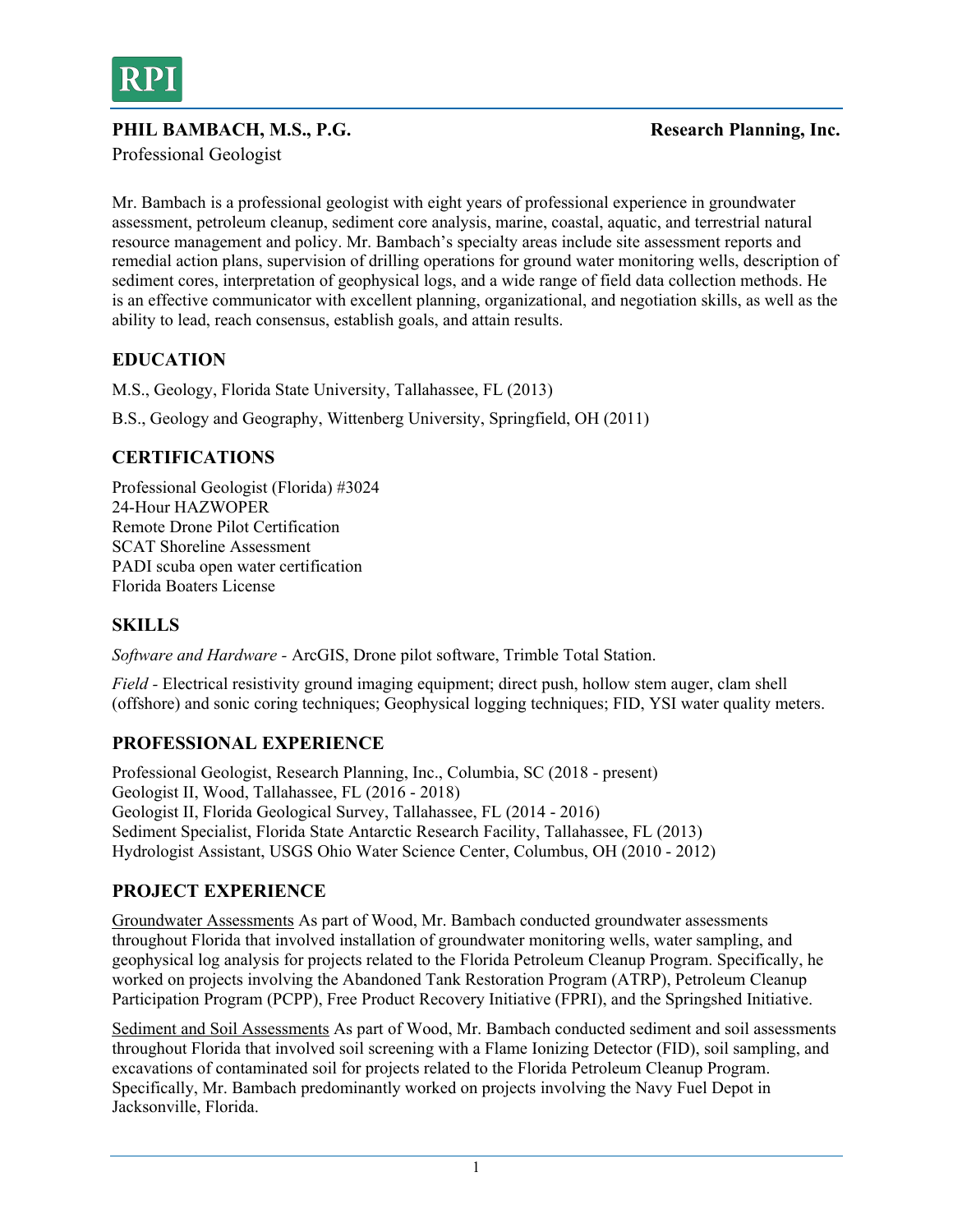

#### PHIL BAMBACH, M.S., P.G. Sand Presearch Planning, Inc.

Professional Geologist

Mr. Bambach is a professional geologist with eight years of professional experience in groundwater assessment, petroleum cleanup, sediment core analysis, marine, coastal, aquatic, and terrestrial natural resource management and policy. Mr. Bambach's specialty areas include site assessment reports and remedial action plans, supervision of drilling operations for ground water monitoring wells, description of sediment cores, interpretation of geophysical logs, and a wide range of field data collection methods. He is an effective communicator with excellent planning, organizational, and negotiation skills, as well as the ability to lead, reach consensus, establish goals, and attain results.

## **EDUCATION**

M.S., Geology, Florida State University, Tallahassee, FL (2013)

B.S., Geology and Geography, Wittenberg University, Springfield, OH (2011)

## **CERTIFICATIONS**

Professional Geologist (Florida) #3024 24-Hour HAZWOPER Remote Drone Pilot Certification SCAT Shoreline Assessment PADI scuba open water certification Florida Boaters License

# **SKILLS**

*Software and Hardware -* ArcGIS, Drone pilot software, Trimble Total Station.

*Field -* Electrical resistivity ground imaging equipment; direct push, hollow stem auger, clam shell (offshore) and sonic coring techniques; Geophysical logging techniques; FID, YSI water quality meters.

## **PROFESSIONAL EXPERIENCE**

Professional Geologist, Research Planning, Inc., Columbia, SC (2018 - present) Geologist II, Wood, Tallahassee, FL (2016 - 2018) Geologist II, Florida Geological Survey, Tallahassee, FL (2014 - 2016) Sediment Specialist, Florida State Antarctic Research Facility, Tallahassee, FL (2013) Hydrologist Assistant, USGS Ohio Water Science Center, Columbus, OH (2010 - 2012)

## **PROJECT EXPERIENCE**

Groundwater Assessments As part of Wood, Mr. Bambach conducted groundwater assessments throughout Florida that involved installation of groundwater monitoring wells, water sampling, and geophysical log analysis for projects related to the Florida Petroleum Cleanup Program. Specifically, he worked on projects involving the Abandoned Tank Restoration Program (ATRP), Petroleum Cleanup Participation Program (PCPP), Free Product Recovery Initiative (FPRI), and the Springshed Initiative.

Sediment and Soil Assessments As part of Wood, Mr. Bambach conducted sediment and soil assessments throughout Florida that involved soil screening with a Flame Ionizing Detector (FID), soil sampling, and excavations of contaminated soil for projects related to the Florida Petroleum Cleanup Program. Specifically, Mr. Bambach predominantly worked on projects involving the Navy Fuel Depot in Jacksonville, Florida.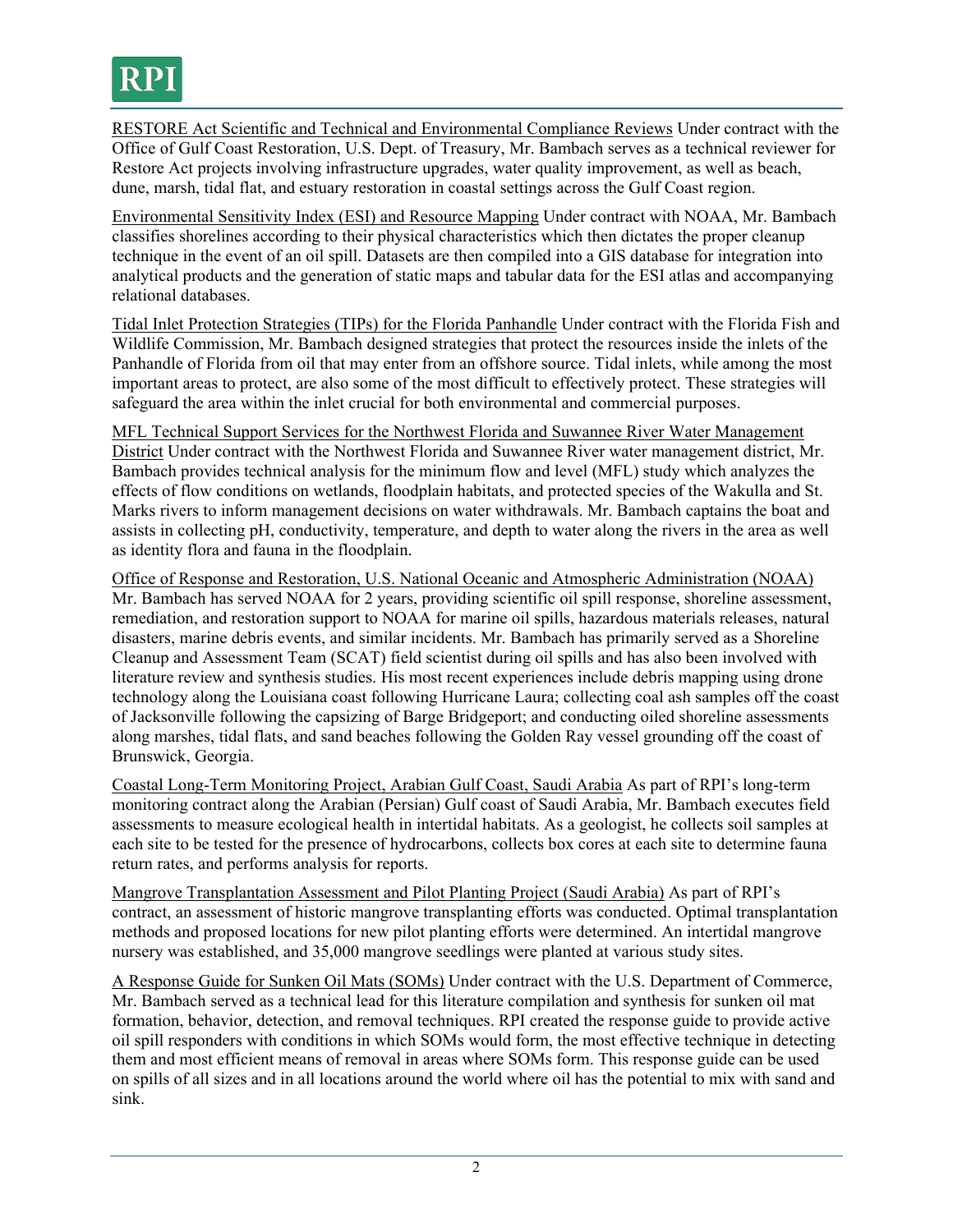

RESTORE Act Scientific and Technical and Environmental Compliance Reviews Under contract with the Office of Gulf Coast Restoration, U.S. Dept. of Treasury, Mr. Bambach serves as a technical reviewer for Restore Act projects involving infrastructure upgrades, water quality improvement, as well as beach, dune, marsh, tidal flat, and estuary restoration in coastal settings across the Gulf Coast region.

Environmental Sensitivity Index (ESI) and Resource Mapping Under contract with NOAA, Mr. Bambach classifies shorelines according to their physical characteristics which then dictates the proper cleanup technique in the event of an oil spill. Datasets are then compiled into a GIS database for integration into analytical products and the generation of static maps and tabular data for the ESI atlas and accompanying relational databases.

Tidal Inlet Protection Strategies (TIPs) for the Florida Panhandle Under contract with the Florida Fish and Wildlife Commission, Mr. Bambach designed strategies that protect the resources inside the inlets of the Panhandle of Florida from oil that may enter from an offshore source. Tidal inlets, while among the most important areas to protect, are also some of the most difficult to effectively protect. These strategies will safeguard the area within the inlet crucial for both environmental and commercial purposes.

MFL Technical Support Services for the Northwest Florida and Suwannee River Water Management District Under contract with the Northwest Florida and Suwannee River water management district, Mr. Bambach provides technical analysis for the minimum flow and level (MFL) study which analyzes the effects of flow conditions on wetlands, floodplain habitats, and protected species of the Wakulla and St. Marks rivers to inform management decisions on water withdrawals. Mr. Bambach captains the boat and assists in collecting pH, conductivity, temperature, and depth to water along the rivers in the area as well as identity flora and fauna in the floodplain.

Office of Response and Restoration, U.S. National Oceanic and Atmospheric Administration (NOAA) Mr. Bambach has served NOAA for 2 years, providing scientific oil spill response, shoreline assessment, remediation, and restoration support to NOAA for marine oil spills, hazardous materials releases, natural disasters, marine debris events, and similar incidents. Mr. Bambach has primarily served as a Shoreline Cleanup and Assessment Team (SCAT) field scientist during oil spills and has also been involved with literature review and synthesis studies. His most recent experiences include debris mapping using drone technology along the Louisiana coast following Hurricane Laura; collecting coal ash samples off the coast of Jacksonville following the capsizing of Barge Bridgeport; and conducting oiled shoreline assessments along marshes, tidal flats, and sand beaches following the Golden Ray vessel grounding off the coast of Brunswick, Georgia.

Coastal Long-Term Monitoring Project, Arabian Gulf Coast, Saudi Arabia As part of RPI's long-term monitoring contract along the Arabian (Persian) Gulf coast of Saudi Arabia, Mr. Bambach executes field assessments to measure ecological health in intertidal habitats. As a geologist, he collects soil samples at each site to be tested for the presence of hydrocarbons, collects box cores at each site to determine fauna return rates, and performs analysis for reports.

Mangrove Transplantation Assessment and Pilot Planting Project (Saudi Arabia) As part of RPI's contract, an assessment of historic mangrove transplanting efforts was conducted. Optimal transplantation methods and proposed locations for new pilot planting efforts were determined. An intertidal mangrove nursery was established, and 35,000 mangrove seedlings were planted at various study sites.

A Response Guide for Sunken Oil Mats (SOMs) Under contract with the U.S. Department of Commerce, Mr. Bambach served as a technical lead for this literature compilation and synthesis for sunken oil mat formation, behavior, detection, and removal techniques. RPI created the response guide to provide active oil spill responders with conditions in which SOMs would form, the most effective technique in detecting them and most efficient means of removal in areas where SOMs form. This response guide can be used on spills of all sizes and in all locations around the world where oil has the potential to mix with sand and sink.